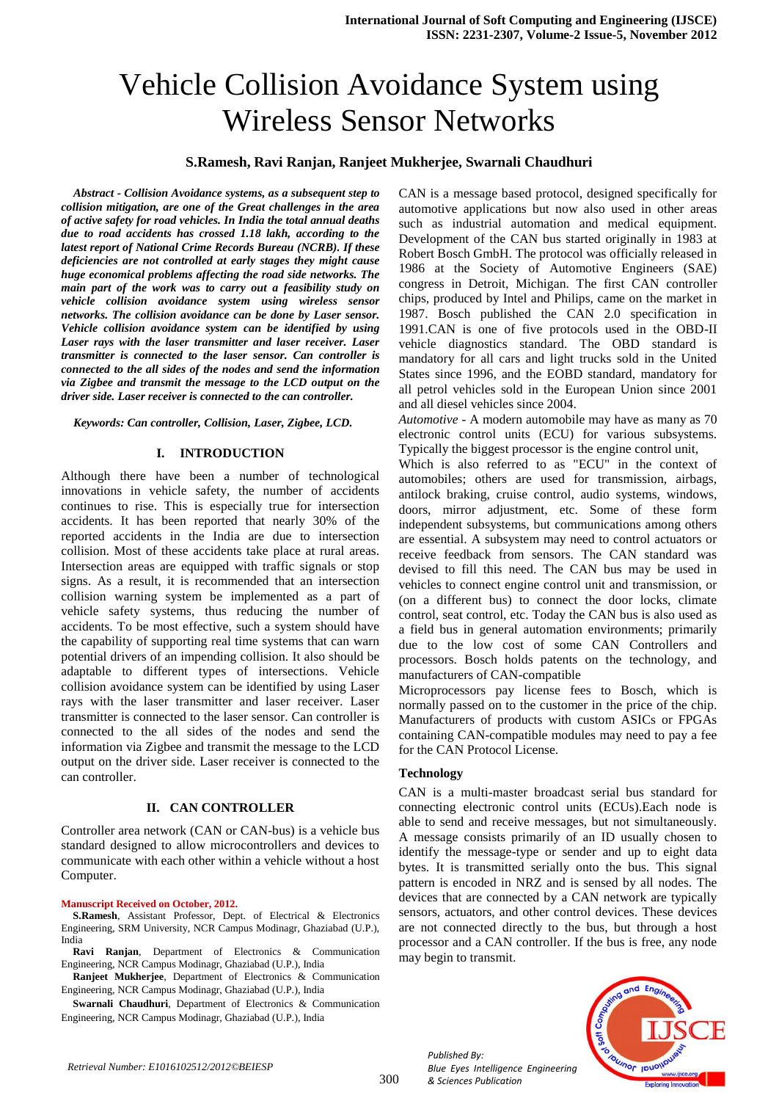# Vehicle Collision Avoidance System using Wireless Sensor Networks

## **S.Ramesh, Ravi Ranjan, Ranjeet Mukherjee, Swarnali Chaudhuri**

*Abstract - Collision Avoidance systems, as a subsequent step to collision mitigation, are one of the Great challenges in the area of active safety for road vehicles. In India the total annual deaths due to road accidents has crossed 1.18 lakh, according to the latest report of National Crime Records Bureau (NCRB). If these deficiencies are not controlled at early stages they might cause huge economical problems affecting the road side networks. The main part of the work was to carry out a feasibility study on vehicle collision avoidance system using wireless sensor networks. The collision avoidance can be done by Laser sensor. Vehicle collision avoidance system can be identified by using Laser rays with the laser transmitter and laser receiver. Laser transmitter is connected to the laser sensor. Can controller is connected to the all sides of the nodes and send the information via Zigbee and transmit the message to the LCD output on the driver side. Laser receiver is connected to the can controller.* 

*Keywords: Can controller, Collision, Laser, Zigbee, LCD.*

#### **I. INTRODUCTION**

Although there have been a number of technological innovations in vehicle safety, the number of accidents continues to rise. This is especially true for intersection accidents. It has been reported that nearly 30% of the reported accidents in the India are due to intersection collision. Most of these accidents take place at rural areas. Intersection areas are equipped with traffic signals or stop signs. As a result, it is recommended that an intersection collision warning system be implemented as a part of vehicle safety systems, thus reducing the number of accidents. To be most effective, such a system should have the capability of supporting real time systems that can warn potential drivers of an impending collision. It also should be adaptable to different types of intersections. Vehicle collision avoidance system can be identified by using Laser rays with the laser transmitter and laser receiver. Laser transmitter is connected to the laser sensor. Can controller is connected to the all sides of the nodes and send the information via Zigbee and transmit the message to the LCD output on the driver side. Laser receiver is connected to the can controller.

#### **II. CAN CONTROLLER**

Controller area network (CAN or CAN-bus) is a vehicle bus standard designed to allow microcontrollers and devices to communicate with each other within a vehicle without a host Computer.

#### **Manuscript Received on October, 2012.**

**S.Ramesh**, Assistant Professor, Dept. of Electrical & Electronics Engineering, SRM University, NCR Campus Modinagr, Ghaziabad (U.P.), India

**Ravi Ranjan**, Department of Electronics & Communication Engineering, NCR Campus Modinagr, Ghaziabad (U.P.), India

**Ranjeet Mukherjee**, Department of Electronics & Communication Engineering, NCR Campus Modinagr, Ghaziabad (U.P.), India

**Swarnali Chaudhuri**, Department of Electronics & Communication Engineering, NCR Campus Modinagr, Ghaziabad (U.P.), India

CAN is a message based protocol, designed specifically for automotive applications but now also used in other areas such as industrial automation and medical equipment. Development of the CAN bus started originally in 1983 at Robert Bosch GmbH. The protocol was officially released in 1986 at the Society of Automotive Engineers (SAE) congress in Detroit, Michigan. The first CAN controller chips, produced by Intel and Philips, came on the market in 1987. Bosch published the CAN 2.0 specification in 1991.CAN is one of five protocols used in the OBD-II vehicle diagnostics standard. The OBD standard is mandatory for all cars and light trucks sold in the United States since 1996, and the EOBD standard, mandatory for all petrol vehicles sold in the European Union since 2001 and all diesel vehicles since 2004.

*Automotive* - A modern automobile may have as many as 70 electronic control units (ECU) for various subsystems. Typically the biggest processor is the engine control unit,

Which is also referred to as "ECU" in the context of automobiles; others are used for transmission, airbags, antilock braking, cruise control, audio systems, windows, doors, mirror adjustment, etc. Some of these form independent subsystems, but communications among others are essential. A subsystem may need to control actuators or receive feedback from sensors. The CAN standard was devised to fill this need. The CAN bus may be used in vehicles to connect engine control unit and transmission, or (on a different bus) to connect the door locks, climate control, seat control, etc. Today the CAN bus is also used as a field bus in general automation environments; primarily due to the low cost of some CAN Controllers and processors. Bosch holds patents on the technology, and manufacturers of CAN-compatible

Microprocessors pay license fees to Bosch, which is normally passed on to the customer in the price of the chip. Manufacturers of products with custom ASICs or FPGAs containing CAN-compatible modules may need to pay a fee for the CAN Protocol License.

#### **Technology**

CAN is a multi-master broadcast serial bus standard for connecting electronic control units (ECUs).Each node is able to send and receive messages, but not simultaneously. A message consists primarily of an ID usually chosen to identify the message-type or sender and up to eight data bytes. It is transmitted serially onto the bus. This signal pattern is encoded in NRZ and is sensed by all nodes. The devices that are connected by a CAN network are typically sensors, actuators, and other control devices. These devices are not connected directly to the bus, but through a host processor and a CAN controller. If the bus is free, any node may begin to transmit.



*Published By: Blue Eyes Intelligence Engineering & Sciences Publication*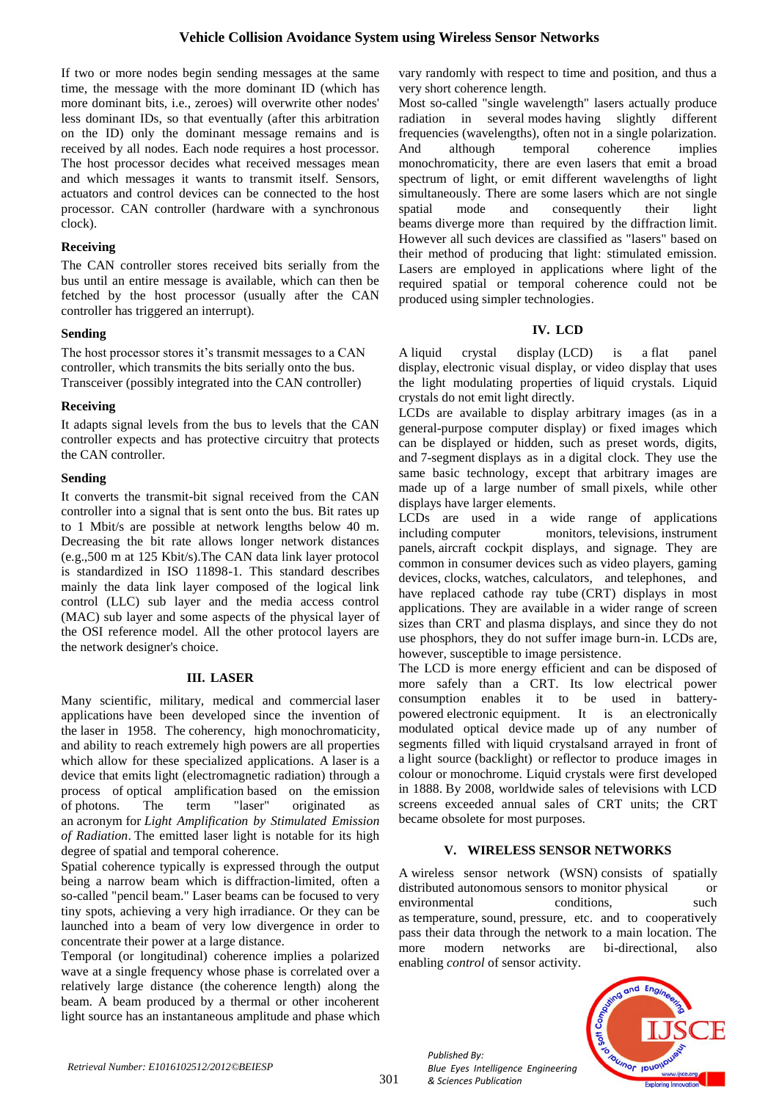If two or more nodes begin sending messages at the same time, the message with the more dominant ID (which has more dominant bits, i.e., zeroes) will overwrite other nodes' less dominant IDs, so that eventually (after this arbitration on the ID) only the dominant message remains and is received by all nodes. Each node requires a host processor. The host processor decides what received messages mean and which messages it wants to transmit itself. Sensors, actuators and control devices can be connected to the host processor. CAN controller (hardware with a synchronous clock).

## **Receiving**

The CAN controller stores received bits serially from the bus until an entire message is available, which can then be fetched by the host processor (usually after the CAN controller has triggered an interrupt).

# **Sending**

The host processor stores it's transmit messages to a CAN controller, which transmits the bits serially onto the bus. Transceiver (possibly integrated into the CAN controller)

# **Receiving**

It adapts signal levels from the bus to levels that the CAN controller expects and has protective circuitry that protects the CAN controller.

# **Sending**

It converts the transmit-bit signal received from the CAN controller into a signal that is sent onto the bus. Bit rates up to 1 Mbit/s are possible at network lengths below 40 m. Decreasing the bit rate allows longer network distances (e.g.,500 m at 125 Kbit/s).The CAN data link layer protocol is standardized in ISO 11898-1. This standard describes mainly the data link layer composed of the logical link control (LLC) sub layer and the media access control (MAC) sub layer and some aspects of the physical layer of the OSI reference model. All the other protocol layers are the network designer's choice.

## **III. LASER**

Many scientific, military, medical and commercial laser applications have been developed since the invention of the [laser](http://en.wikipedia.org/wiki/Laser) in 1958. The [coherency,](http://en.wikipedia.org/wiki/Coherence_(physics)) high [monochromaticity,](http://en.wikipedia.org/wiki/Monochromaticity) and ability to reach extremely high [powers](http://en.wikipedia.org/wiki/Radiant_flux) are all properties which allow for these specialized applications. A laser is a device that emits light [\(electromagnetic radiation\)](http://en.wikipedia.org/wiki/Electromagnetic_radiation) through a process of [optical amplification](http://en.wikipedia.org/wiki/Optical_amplification) based on the emission of [photons.](http://en.wikipedia.org/wiki/Photon) The term "laser" originated as an [acronym](http://en.wikipedia.org/wiki/Acronym) for *Light Amplification by Stimulated Emission of Radiation*. The emitted laser light is notable for its high degree of spatial and temporal [coherence.](http://en.wikipedia.org/wiki/Coherence_(physics))

Spatial coherence typically is expressed through the output being a narrow beam which is [diffraction-limited,](http://en.wikipedia.org/wiki/Gaussian_beam) often a so-called "pencil beam." Laser beams can be focused to very tiny spots, achieving a very high [irradiance.](http://en.wikipedia.org/wiki/Irradiance) Or they can be launched into a beam of very low divergence in order to concentrate their power at a large distance.

Temporal (or longitudinal) coherence implies a polarized wave at a single frequency whose phase is correlated over a relatively large distance (the [coherence length\)](http://en.wikipedia.org/wiki/Coherence_length) along the beam. A beam produced by a thermal or other incoherent light source has an instantaneous amplitude and [phase](http://en.wikipedia.org/wiki/Phase_(waves)) which vary randomly with respect to time and position, and thus a very short coherence length.

Most so-called "single wavelength" lasers actually produce radiation in several modes having slightly different frequencies (wavelengths), often not in a single polarization. And although temporal coherence implies monochromaticity, there are even lasers that emit a broad spectrum of light, or emit different wavelengths of light simultaneously. There are some lasers which are not single spatial mode and consequently their light beams [diverge](http://en.wikipedia.org/wiki/Beam_divergence) more than required by the [diffraction](http://en.wikipedia.org/wiki/Diffraction) limit. However all such devices are classified as "lasers" based on their method of producing that light: stimulated emission. Lasers are employed in applications where light of the required spatial or temporal coherence could not be produced using simpler technologies.

# **IV. LCD**

A liquid crystal display (LCD) is a [flat panel](http://en.wikipedia.org/wiki/Flat_panel_display)  [display,](http://en.wikipedia.org/wiki/Flat_panel_display) [electronic visual display,](http://en.wikipedia.org/wiki/Electronic_visual_display) or [video display](http://en.wikipedia.org/wiki/Video_display) that uses the light modulating properties of [liquid crystals.](http://en.wikipedia.org/wiki/Liquid_Crystals) Liquid crystals do not emit light directly.

LCDs are available to display arbitrary images (as in a general-purpose computer display) or fixed images which can be displayed or hidden, such as preset words, digits, and [7-segment](http://en.wikipedia.org/wiki/7-segment) displays as in a [digital clock.](http://en.wikipedia.org/wiki/Digital_clock) They use the same basic technology, except that arbitrary images are made up of a large number of small [pixels,](http://en.wikipedia.org/wiki/Pixel) while other displays have larger elements.

LCDs are used in a wide range of applications including [computer monitors,](http://en.wikipedia.org/wiki/Computer_monitor) [televisions,](http://en.wikipedia.org/wiki/Television) [instrument](http://en.wikipedia.org/wiki/Instrument_panel)  [panels,](http://en.wikipedia.org/wiki/Instrument_panel) [aircraft cockpit displays,](http://en.wikipedia.org/wiki/Flight_instruments) and signage. They are common in consumer devices such as video players, gaming devices, [clocks,](http://en.wikipedia.org/wiki/Clock) [watches,](http://en.wikipedia.org/wiki/Watch) [calculators,](http://en.wikipedia.org/wiki/Calculator) and [telephones,](http://en.wikipedia.org/wiki/Telephone) and have replaced [cathode ray tube](http://en.wikipedia.org/wiki/Cathode_ray_tube) (CRT) displays in most applications. They are available in a wider range of screen sizes than CRT and [plasma displays,](http://en.wikipedia.org/wiki/Plasma_display) and since they do not use phosphors, they do not suffer image burn-in. LCDs are, however, susceptible to [image persistence.](http://en.wikipedia.org/wiki/Image_persistence)

The LCD is more energy efficient and can be disposed of more safely than a CRT. Its low electrical power consumption enables it to be used in [battery](http://en.wikipedia.org/wiki/Battery_(electricity))powered [electronic](http://en.wikipedia.org/wiki/Electronics) equipment. It is an [electronically](http://en.wikipedia.org/wiki/Electro-optic_modulator)  [modulated optical device](http://en.wikipedia.org/wiki/Electro-optic_modulator) made up of any number of segments filled with [liquid crystalsa](http://en.wikipedia.org/wiki/Liquid_crystal)nd arrayed in front of a [light source](http://en.wikipedia.org/wiki/Light#Light_sources) [\(backlight\)](http://en.wikipedia.org/wiki/Backlight) or [reflector](http://en.wikipedia.org/wiki/Reflector_(photography)) to produce images in colour or [monochrome.](http://en.wikipedia.org/wiki/Monochrome) Liquid crystals were first developed in 1888. By 2008, worldwide sales of televisions with LCD screens exceeded annual sales of CRT units; the CRT became obsolete for most purposes.

# **V. WIRELESS SENSOR NETWORKS**

A wireless sensor network (WSN) consists of spatially distributed [autonomous](http://en.wikipedia.org/wiki/Autonomous) [sensors](http://en.wikipedia.org/wiki/Sensor) to monitor physical or environmental conditions, such as [temperature,](http://en.wikipedia.org/wiki/Temperature) [sound,](http://en.wikipedia.org/wiki/Sound) [pressure,](http://en.wikipedia.org/wiki/Pressure) etc. and to cooperatively pass their data through the network to a main location. The more modern networks are bi-directional, also enabling *control* of sensor activity.



*Published By: Blue Eyes Intelligence Engineering & Sciences Publication*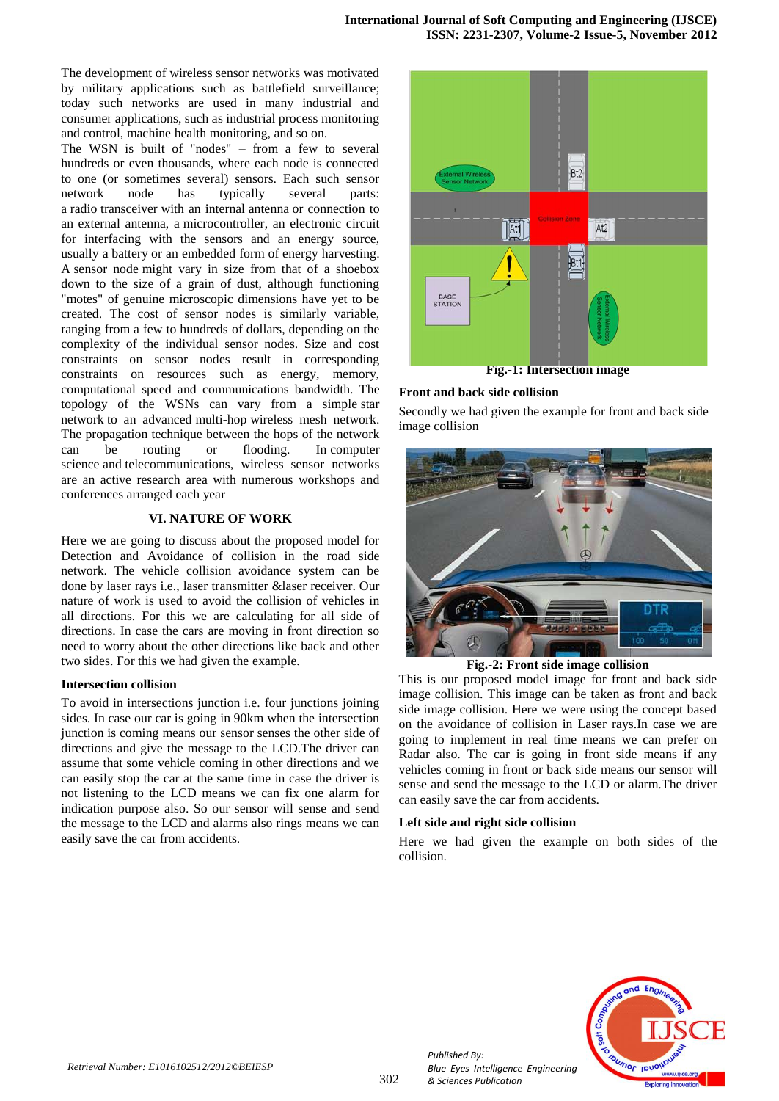The development of wireless sensor networks was motivated by military applications such as battlefield surveillance; today such networks are used in many industrial and consumer applications, such as industrial process monitoring and control, machine health monitoring, and so on.

The WSN is built of "nodes" – from a few to several hundreds or even thousands, where each node is connected to one (or sometimes several) sensors. Each such sensor network node has typically several parts: a [radio](http://en.wikipedia.org/wiki/Radio) [transceiver](http://en.wikipedia.org/wiki/Transceiver) with an internal [antenna](http://en.wikipedia.org/wiki/Antenna_(radio)) or connection to an external antenna, a [microcontroller,](http://en.wikipedia.org/wiki/Microcontroller) an electronic circuit for interfacing with the sensors and an energy source, usually a [battery](http://en.wikipedia.org/wiki/Battery_(electricity)) or an embedded form of [energy harvesting.](http://en.wikipedia.org/wiki/Energy_harvesting) A [sensor node](http://en.wikipedia.org/wiki/Sensor_node) might vary in size from that of a shoebox down to the size of a grain of dust, although functioning "motes" of genuine microscopic dimensions have yet to be created. The cost of sensor nodes is similarly variable, ranging from a few to hundreds of dollars, depending on the complexity of the individual sensor nodes. Size and cost constraints on sensor nodes result in corresponding constraints on resources such as energy, memory, computational speed and communications bandwidth. The topology of the WSNs can vary from a simple [star](http://en.wikipedia.org/wiki/Star_network)  [network](http://en.wikipedia.org/wiki/Star_network) to an advanced [multi-hop](http://en.wikipedia.org/wiki/Mesh_networking) [wireless mesh network.](http://en.wikipedia.org/wiki/Wireless_mesh_network) The propagation technique between the hops of the network can be routing or flooding. In [computer](http://en.wikipedia.org/wiki/Computer_science)  [science](http://en.wikipedia.org/wiki/Computer_science) and [telecommunications,](http://en.wikipedia.org/wiki/Telecommunications) wireless sensor networks are an active research area with numerous workshops and conferences arranged each year

# **VI. NATURE OF WORK**

Here we are going to discuss about the proposed model for Detection and Avoidance of collision in the road side network. The vehicle collision avoidance system can be done by laser rays i.e., laser transmitter &laser receiver. Our nature of work is used to avoid the collision of vehicles in all directions. For this we are calculating for all side of directions. In case the cars are moving in front direction so need to worry about the other directions like back and other two sides. For this we had given the example.

#### **Intersection collision**

To avoid in intersections junction i.e. four junctions joining sides. In case our car is going in 90km when the intersection junction is coming means our sensor senses the other side of directions and give the message to the LCD.The driver can assume that some vehicle coming in other directions and we can easily stop the car at the same time in case the driver is not listening to the LCD means we can fix one alarm for indication purpose also. So our sensor will sense and send the message to the LCD and alarms also rings means we can easily save the car from accidents.



**Fig.-1: Intersection image**

## **Front and back side collision**

Secondly we had given the example for front and back side image collision



**Fig.-2: Front side image collision**

This is our proposed model image for front and back side image collision. This image can be taken as front and back side image collision. Here we were using the concept based on the avoidance of collision in Laser rays.In case we are going to implement in real time means we can prefer on Radar also. The car is going in front side means if any vehicles coming in front or back side means our sensor will sense and send the message to the LCD or alarm.The driver can easily save the car from accidents.

#### **Left side and right side collision**

Here we had given the example on both sides of the collision.